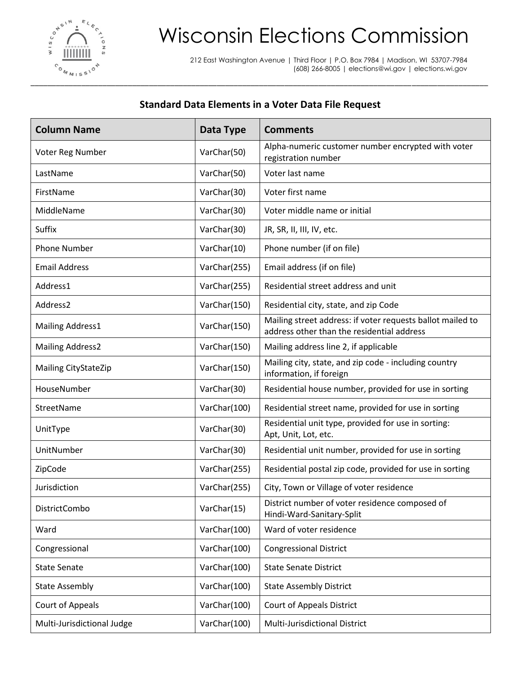

## Wisconsin Elections Commission

212 East Washington Avenue | Third Floor | P.O. Box 7984 | Madison, WI 53707-7984 (608) 266-8005 | elections@wi.gov | elections.wi.gov

## **Standard Data Elements in a Voter Data File Request**

| <b>Column Name</b>         | Data Type    | <b>Comments</b>                                                                                          |
|----------------------------|--------------|----------------------------------------------------------------------------------------------------------|
| Voter Reg Number           | VarChar(50)  | Alpha-numeric customer number encrypted with voter<br>registration number                                |
| LastName                   | VarChar(50)  | Voter last name                                                                                          |
| FirstName                  | VarChar(30)  | Voter first name                                                                                         |
| MiddleName                 | VarChar(30)  | Voter middle name or initial                                                                             |
| Suffix                     | VarChar(30)  | JR, SR, II, III, IV, etc.                                                                                |
| <b>Phone Number</b>        | VarChar(10)  | Phone number (if on file)                                                                                |
| <b>Email Address</b>       | VarChar(255) | Email address (if on file)                                                                               |
| Address1                   | VarChar(255) | Residential street address and unit                                                                      |
| Address2                   | VarChar(150) | Residential city, state, and zip Code                                                                    |
| Mailing Address1           | VarChar(150) | Mailing street address: if voter requests ballot mailed to<br>address other than the residential address |
| <b>Mailing Address2</b>    | VarChar(150) | Mailing address line 2, if applicable                                                                    |
| Mailing CityStateZip       | VarChar(150) | Mailing city, state, and zip code - including country<br>information, if foreign                         |
| HouseNumber                | VarChar(30)  | Residential house number, provided for use in sorting                                                    |
| StreetName                 | VarChar(100) | Residential street name, provided for use in sorting                                                     |
| UnitType                   | VarChar(30)  | Residential unit type, provided for use in sorting:<br>Apt, Unit, Lot, etc.                              |
| UnitNumber                 | VarChar(30)  | Residential unit number, provided for use in sorting                                                     |
| ZipCode                    | VarChar(255) | Residential postal zip code, provided for use in sorting                                                 |
| Jurisdiction               | VarChar(255) | City, Town or Village of voter residence                                                                 |
| DistrictCombo              | VarChar(15)  | District number of voter residence composed of<br>Hindi-Ward-Sanitary-Split                              |
| Ward                       | VarChar(100) | Ward of voter residence                                                                                  |
| Congressional              | VarChar(100) | <b>Congressional District</b>                                                                            |
| <b>State Senate</b>        | VarChar(100) | <b>State Senate District</b>                                                                             |
| <b>State Assembly</b>      | VarChar(100) | <b>State Assembly District</b>                                                                           |
| <b>Court of Appeals</b>    | VarChar(100) | <b>Court of Appeals District</b>                                                                         |
| Multi-Jurisdictional Judge | VarChar(100) | Multi-Jurisdictional District                                                                            |